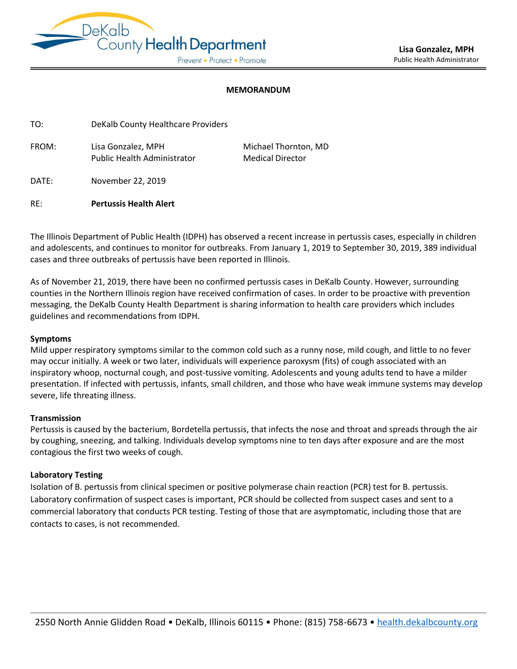

### **MEMORANDUM**

ֺֺׅ֕֜֬֓֕

Thornton, MD **Director** 

| TO:   | DeKalb County Healthcare Providers |         |
|-------|------------------------------------|---------|
| FROM: | Lisa Gonzalez. MPH                 | Michael |
|       | <b>Public Health Administrator</b> | Medical |

DATE: November 22, 2019

RE: **Pertussis Health Alert** 

The Illinois Department of Public Health (IDPH) has observed a recent increase in pertussis cases, especially in children and adolescents, and continues to monitor for outbreaks. From January 1, 2019 to September 30, 2019, 389 individual cases and three outbreaks of pertussis have been reported in Illinois.

As of November 21, 2019, there have been no confirmed pertussis cases in DeKalb County. However, surrounding counties in the Northern Illinois region have received confirmation of cases. In order to be proactive with prevention messaging, the DeKalb County Health Department is sharing information to health care providers which includes guidelines and recommendations from IDPH.

### **Symptoms**

Mild upper respiratory symptoms similar to the common cold such as a runny nose, mild cough, and little to no fever may occur initially. A week or two later, individuals will experience paroxysm (fits) of cough associated with an inspiratory whoop, nocturnal cough, and post-tussive vomiting. Adolescents and young adults tend to have a milder presentation. If infected with pertussis, infants, small children, and those who have weak immune systems may develop severe, life threating illness.

## **Transmission**

Pertussis is caused by the bacterium, Bordetella pertussis, that infects the nose and throat and spreads through the air by coughing, sneezing, and talking. Individuals develop symptoms nine to ten days after exposure and are the most contagious the first two weeks of cough.

## **Laboratory Testing**

Isolation of B. pertussis from clinical specimen or positive polymerase chain reaction (PCR) test for B. pertussis. Laboratory confirmation of suspect cases is important, PCR should be collected from suspect cases and sent to a commercial laboratory that conducts PCR testing. Testing of those that are asymptomatic, including those that are contacts to cases, is not recommended.